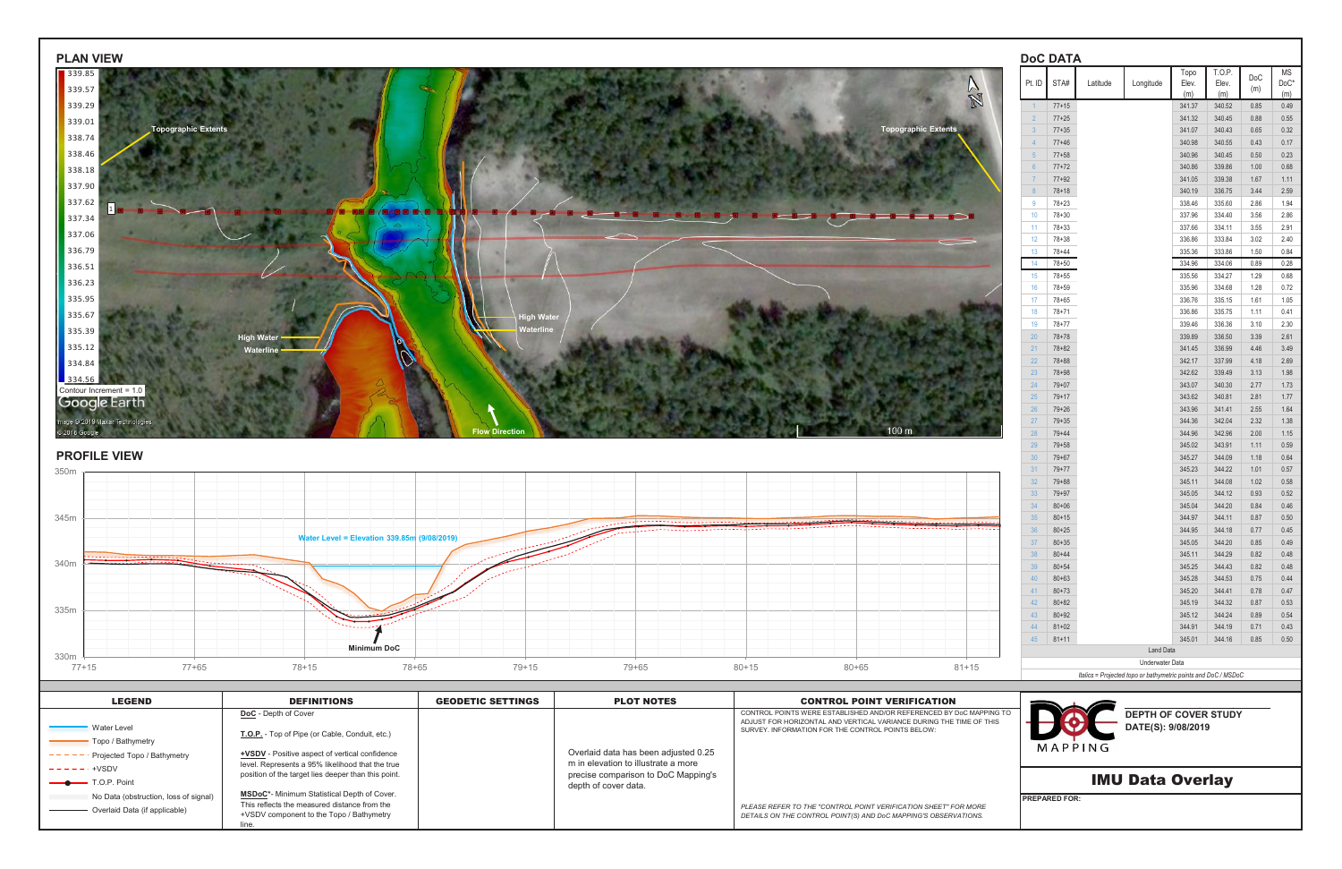

|                  | <b>DOC DATA</b> |          |           |               | T.O.P. |      | ΜS   |
|------------------|-----------------|----------|-----------|---------------|--------|------|------|
| Pt. ID           | STA#            | Latitude | Longitude | Topo<br>Elev. | Elev.  | DoC  | DoC* |
|                  |                 |          |           | (m)           | (m)    | (m)  | (m)  |
| $\overline{1}$   | $77 + 15$       |          |           | 341.37        | 340.52 | 0.85 | 0.49 |
| $\overline{2}$   | $77 + 25$       |          |           | 341.32        | 340.45 | 0.88 | 0.55 |
| 3                | $77 + 35$       |          |           | 341.07        | 340.43 | 0.65 | 0.32 |
| $\overline{4}$   | $77 + 46$       |          |           | 340.98        | 340.55 | 0.43 | 0.17 |
| 5                | $77 + 58$       |          |           | 340.96        | 340.45 | 0.50 | 0.23 |
| $6\phantom{a}$   | $77 + 72$       |          |           | 340.86        | 339.86 | 1.00 | 0.68 |
| $\overline{7}$   | $77 + 92$       |          |           | 341.05        | 339.38 | 1.67 | 1.11 |
| $\boldsymbol{8}$ | 78+18           |          |           | 340.19        | 336.75 | 3.44 | 2.59 |
| 9                | $78 + 23$       |          |           | 338.46        | 335.60 | 2.86 | 1.94 |
| 10               | 78+30           |          |           | 337.96        | 334.40 | 3.56 | 2.86 |
| 11               | 78+33           |          |           | 337.66        | 334.11 | 3.55 | 2.91 |
| 12               | $78 + 38$       |          |           | 336.86        | 333.84 | 3.02 | 2.40 |
| 13               | 78+44           |          |           | 335.36        | 333.86 | 1.50 | 0.84 |
| 14               | $78 + 50$       |          |           | 334.96        | 334.06 | 0.89 | 0.28 |
| 15               | $78 + 55$       |          |           | 335.56        | 334.27 | 1.29 | 0.68 |
| 16               | 78+59           |          |           | 335.96        | 334.68 | 1.28 | 0.72 |
| 17               | $78 + 65$       |          |           | 336.76        | 335.15 | 1.61 | 1.05 |
| 18               | $78 + 71$       |          |           | 336.86        | 335.75 | 1.11 | 0.41 |
| 19               | 78+77           |          |           | 339.46        | 336.36 | 3.10 | 2.30 |
| 20               | $78 + 78$       |          |           | 339.89        | 336.50 | 3.39 | 2.61 |
| 21               | $78 + 82$       |          |           | 341.45        | 336.99 | 4.46 | 3.49 |
| 22               | $78 + 88$       |          |           | 342.17        | 337.99 | 4.18 | 2.69 |
| 23               | $78 + 98$       |          |           | 342.62        | 339.49 | 3.13 | 1.98 |
| 24               | $79 + 07$       |          |           | 343.07        | 340.30 | 2.77 | 1.73 |
| 25               | $79 + 17$       |          |           | 343.62        | 340.81 | 2.81 | 1.77 |
| 26               | $79 + 26$       |          |           | 343.96        | 341.41 | 2.55 | 1.64 |
| 27               | $79 + 35$       |          |           | 344.36        | 342.04 | 2.32 | 1.38 |
| 28               | $79 + 44$       |          |           | 344.96        | 342.96 | 2.00 | 1.15 |
| 29               | $79 + 58$       |          |           | 345.02        | 343.91 | 1.11 | 0.59 |
| 30               | $79 + 67$       |          |           | 345.27        | 344.09 | 1.18 | 0.64 |
| 31               | $79 + 77$       |          |           | 345.23        | 344.22 | 1.01 | 0.57 |
| 32               | $79 + 88$       |          |           | 345.11        | 344.08 | 1.02 | 0.58 |
| 33               | 79+97           |          |           | 345.05        | 344.12 | 0.93 | 0.52 |
| 34               | $80 + 06$       |          |           | 345.04        | 344.20 | 0.84 | 0.46 |
| 35               | $80 + 15$       |          |           | 344.97        | 344.11 | 0.87 | 0.50 |
| 36               | $80 + 25$       |          |           | 344.95        | 344.18 | 0.77 | 0.45 |
| 37               | $80 + 35$       |          |           | 345.05        | 344.20 | 0.85 | 0.49 |
| 38               | $80 + 44$       |          |           | 345.11        | 344.29 | 0.82 | 0.48 |
| 39               | $80 + 54$       |          |           | 345.25        | 344.43 | 0.82 | 0.48 |
| 40               | $80 + 63$       |          |           | 345.28        | 344.53 | 0.75 | 0.44 |
| 41               | $80 + 73$       |          |           | 345.20        | 344.41 | 0.78 | 0.47 |
| 42               | $80 + 82$       |          |           | 345.19        | 344.32 | 0.87 | 0.53 |
| 43               | $80 + 92$       |          |           | 345.12        | 344.24 | 0.89 | 0.54 |
| 44               | $81 + 02$       |          |           | 344.91        | 344.19 | 0.71 | 0.43 |

# MAPPING



| <b>LEGEND</b>                                                          | <b>DEFINITIONS</b>                                                                                                                             | <b>GEODETIC SETTINGS</b> | <b>PLOT NOTES</b>                                                                                  | <b>CONTROL POINT VERIFICATION</b>                                                                                                                                                               |                                                             |
|------------------------------------------------------------------------|------------------------------------------------------------------------------------------------------------------------------------------------|--------------------------|----------------------------------------------------------------------------------------------------|-------------------------------------------------------------------------------------------------------------------------------------------------------------------------------------------------|-------------------------------------------------------------|
| <b>Water Level</b><br>Topo / Bathymetry<br>Projected Topo / Bathymetry | DoC - Depth of Cover<br>T.O.P. - Top of Pipe (or Cable, Conduit, etc.)<br><b>+VSDV</b> - Positive aspect of vertical confidence                |                          | Overlaid data has been adjusted 0.25                                                               | CONTROL POINTS WERE ESTABLISHED AND/OR REFERENCED BY DoC MAPPING TO<br>ADJUST FOR HORIZONTAL AND VERTICAL VARIANCE DURING THE TIME OF THIS<br>SURVEY. INFORMATION FOR THE CONTROL POINTS BELOW: | <b>DEPTH OF COVER STUD</b><br>DATE(S): 9/08/2019<br>MAPPING |
| $------++VSDV$<br>$\longrightarrow$ T.O.P. Point                       | level. Represents a 95% likelihood that the true<br>position of the target lies deeper than this point.                                        |                          | m in elevation to illustrate a more<br>precise comparison to DoC Mapping's<br>depth of cover data. |                                                                                                                                                                                                 | <b>IMU Data Overlay</b>                                     |
| No Data (obstruction, loss of signal)<br>Overlaid Data (if applicable) | <b>MSDoC*-</b> Minimum Statistical Depth of Cover.<br>This reflects the measured distance from the<br>+VSDV component to the Topo / Bathymetry |                          |                                                                                                    | PLEASE REFER TO THE "CONTROL POINT VERIFICATION SHEET" FOR MORE<br>DETAILS ON THE CONTROL POINT(S) AND DoC MAPPING'S OBSERVATIONS.                                                              | <b>IPREPARED FOR:</b>                                       |

**DEPTH OF COVER STUDY**

## **DATE(S): 9/08/2019**

*Italics = Projected topo or bathymetric points and DoC / MSDoC*

| 32 | $79 + 88$ |                  | 345 |
|----|-----------|------------------|-----|
| 33 | $79 + 97$ |                  | 345 |
| 34 | $80 + 06$ |                  | 345 |
| 35 | $80 + 15$ |                  | 344 |
| 36 | $80 + 25$ |                  | 344 |
| 37 | $80 + 35$ |                  | 345 |
| 38 | $80 + 44$ |                  | 345 |
| 39 | $80 + 54$ |                  | 345 |
| 40 | $80 + 63$ |                  | 345 |
| 41 | $80 + 73$ |                  | 345 |
| 42 | $80 + 82$ |                  | 345 |
| 43 | $80 + 92$ |                  | 345 |
| 44 | $81 + 02$ |                  | 344 |
| 45 | $81 + 11$ |                  | 345 |
|    |           | <b>Land Data</b> |     |

Underwater Data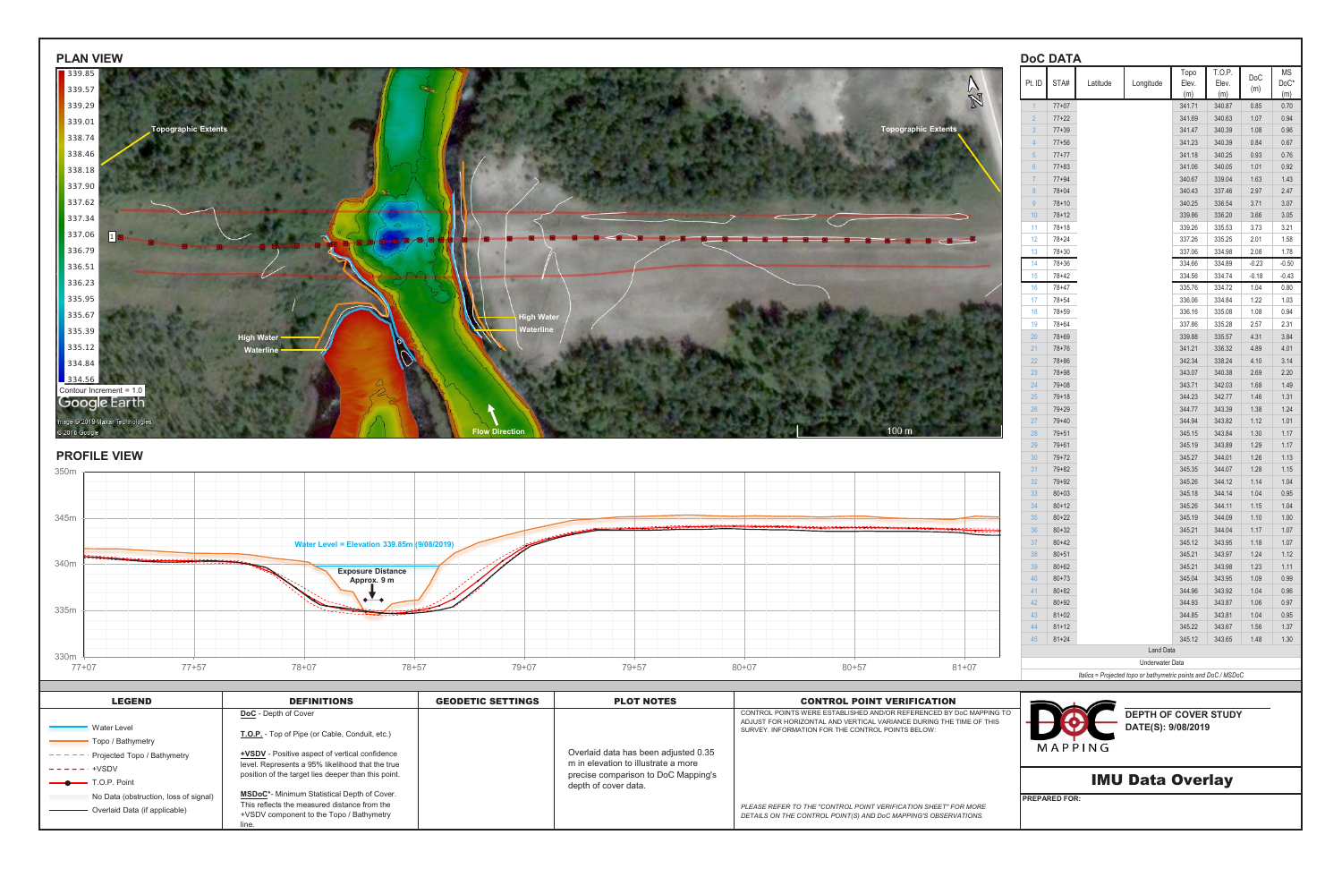| <b>PLAN VIEW</b>                            | <b>DoC DATA</b>                                  |                                                |              |                            |
|---------------------------------------------|--------------------------------------------------|------------------------------------------------|--------------|----------------------------|
| 339.85<br>339.57                            | Pt. ID STA#<br>Longitude<br>Latitude<br>W        | T.O.P.<br>Topo<br>Elev.<br>Elev.<br>(m)<br>(m) | DoC<br>(m)   | <b>MS</b><br>$DoC*$<br>(m) |
| 339.29                                      | N<br>$1 \t 77+07$                                | 341.71<br>340.87                               | 0.85         | 0.70                       |
| 339.01                                      | $77+22$<br>$2^{\circ}$                           | 341.69<br>340.63                               | 1.07         | 0.94                       |
| Topographic Extents<br>338.74               | <b>Topographic Extents</b><br>$77 + 39$<br>$3 -$ | 341.47<br>340.39                               | 1.08         | 0.96                       |
|                                             | $77 + 56$<br>4                                   | 341.23<br>340.39                               | 0.84         | 0.67                       |
| 338.46                                      | $77+77$<br>5 <sub>1</sub>                        | 341.18<br>340.25                               | 0.93         | 0.76                       |
| 338.18                                      | $77 + 83$<br>6 <sup>6</sup>                      | 340.05<br>341.06                               | 1.01         | 0.92                       |
| 337.90                                      | $77 + 94$<br>$7^{\circ}$                         | 340.67<br>339.04                               | 1.63         | 1.43                       |
| 337.62                                      | $78 + 04$<br>8<br>$78 + 10$<br>9                 | 340.43<br>337.46<br>340.25<br>336.54           | 2.97<br>3.71 | 2.47<br>3.07               |
|                                             | 10<br>$78 + 12$                                  | 339.86<br>336.20                               | 3.66         | 3.05                       |
| 337.34                                      | $78 + 18$<br>11                                  | 339.26<br>335.53                               | 3.73         | 3.21                       |
| 337.06<br>$\Box$                            | $78 + 24$<br>12 <sup>°</sup><br>$-$              | 335.25<br>337.26                               | 2.01         | 1.58                       |
| 336.79                                      | 13<br>78+30                                      | 337.06<br>334.98                               | 2.08         | 1.78                       |
| 336.51                                      | 78+36<br>14                                      | 334.66<br>334.89                               | $-0.23$      | $-0.50$                    |
|                                             | $15-15$<br>78+42                                 | 334.56<br>334.74                               | $-0.18$      | $-0.43$                    |
| 336.23                                      | 78+47<br>16                                      | 334.72<br>335.76                               | 1.04         | 0.80                       |
| 335.95                                      | $78 + 54$<br>17 <sup>2</sup>                     | 336.06<br>334.84                               | 1.22         | 1.03                       |
| 335.67<br><b>High Water</b>                 | 18<br>78+59                                      | 336.16<br>335.08                               | 1.08         | 0.94                       |
| Waterline<br>335.39                         | 19<br>78+64                                      | 337.86<br>335.28                               | 2.57         | 2.31                       |
| <b>High Water</b>                           | 20<br>$78 + 69$                                  | 339.88<br>335.57                               | 4.31         | 3.84                       |
| 335.12<br>Waterline -                       | 21<br>$78 + 76$                                  | 341.21<br>336.32                               | 4.89         | 4.01                       |
| 334.84                                      | 22<br>$78 + 86$                                  | 342.34<br>338.24                               | 4.10         | 3.14                       |
| 334.56                                      | 23<br>$78 + 98$                                  | 343.07<br>340.38                               | 2.69         | 2.20                       |
| Contour Increment = 1.0                     | 24<br>$79 + 08$                                  | 343.71<br>342.03                               | 1.68         | 1.49                       |
| Google Earth                                | $79 + 18$<br>25                                  | 342.77<br>344.23<br>344.77<br>343.39           | 1.46<br>1.38 | 1.31                       |
| mage @ 2019 Maxar Technologies              | 26<br>79+29<br>27<br>$79 + 40$                   | 344.94<br>343.82                               | 1.12         | 1.24<br>1.01               |
| @ 2018 Google<br><b>Flow Directior</b>      | 100 <sub>m</sub><br>28<br>$79 + 51$              | 343.84<br>345.15                               | 1.30         | 1.17                       |
|                                             | 29<br>$79 + 61$                                  | 345.19<br>343.89                               | 1.29         | 1.17                       |
| <b>PROFILE VIEW</b>                         | 30 <sup>7</sup><br>$79 + 72$                     | 345.27<br>344.01                               | 1.26         | 1.13                       |
| 350m                                        | 31<br>$79 + 82$                                  | 345.35<br>344.07                               | 1.28         | 1.15                       |
|                                             | 32 <sup>2</sup><br>$79 + 92$                     | 345.26<br>344.12                               | 1.14         | 1.04                       |
|                                             | 33 <sup>2</sup><br>$80 + 03$                     | 345.18<br>344.14                               | 1.04         | 0.95                       |
|                                             | 34<br>$80 + 12$                                  | 345.26<br>344.11                               | 1.15         | 1.04                       |
| 345m                                        | 35 <sup>5</sup><br>$80 + 22$                     | 345.19<br>344.09                               | 1.10         | 1.00                       |
|                                             | 36<br>$80 + 32$                                  | 345.21<br>344.04                               | 1.17         | 1.07                       |
| Water Level = Elevation 339.85m (9/08/2019) | $80 + 42$<br>37 <sup>2</sup>                     | 343.95<br>345.12                               |              | $1.18$ 1.07                |
|                                             | 38<br>$80 + 51$                                  | 343.97<br>345.21                               |              | $1.24$ $1.12$              |
| 340m<br><b>Exposure Distance</b>            | 39<br>$80 + 62$                                  | 343.98<br>345.21                               |              | $1.23$ 1.11                |
| Approx. 9 m                                 | 40<br>$80 + 73$                                  | 343.95<br>345.04                               |              | $1.09$ 0.99                |
| $\ddot{\bullet}$ $\ddot{\bullet}$           | 41<br>$80 + 82$                                  | 343.92<br>344.96                               | 1.04         | 0.96                       |
| 335m                                        | 42<br>$80 + 92$                                  | 344.93<br>343.87                               | 1.06         | 0.97<br>$1.04$ 0.95        |
|                                             | 43<br>$81 + 02$<br>44 81+12                      | 344.85<br>343.81<br>345.22<br>343.67           |              | 1.56 1.37                  |
|                                             |                                                  |                                                |              |                            |





| <b>LEGEND</b>                         | <b>DEFINITIONS</b>                                                                                      | <b>GEODETIC SETTINGS</b> | <b>PLOT NOTES</b>                                                          | <b>CONTROL POINT VERIFICATION</b>                                                                                                          |                            |
|---------------------------------------|---------------------------------------------------------------------------------------------------------|--------------------------|----------------------------------------------------------------------------|--------------------------------------------------------------------------------------------------------------------------------------------|----------------------------|
|                                       | <b>DoC</b> - Depth of Cover                                                                             |                          |                                                                            | CONTROL POINTS WERE ESTABLISHED AND/OR REFERENCED BY DoC MAPPING TO<br>ADJUST FOR HORIZONTAL AND VERTICAL VARIANCE DURING THE TIME OF THIS | <b>DEPTH OF COVER STUD</b> |
| <b>Water Level</b>                    | T.O.P. - Top of Pipe (or Cable, Conduit, etc.)                                                          |                          |                                                                            | SURVEY. INFORMATION FOR THE CONTROL POINTS BELOW:                                                                                          | DATE(S): 9/08/2019         |
| Topo / Bathymetry                     |                                                                                                         |                          |                                                                            |                                                                                                                                            | MAPPING                    |
| Projected Topo / Bathymetry           | <b>+VSDV</b> - Positive aspect of vertical confidence                                                   |                          | Overlaid data has been adjusted 0.35                                       |                                                                                                                                            |                            |
| $- - - - - - +$ VSDV                  | level. Represents a 95% likelihood that the true<br>position of the target lies deeper than this point. |                          | m in elevation to illustrate a more<br>precise comparison to DoC Mapping's |                                                                                                                                            |                            |
| $\longrightarrow$ T.O.P. Point        |                                                                                                         |                          | depth of cover data.                                                       |                                                                                                                                            | <b>IMU Data Overlay</b>    |
| No Data (obstruction, loss of signal) | <b>MSDoC*-</b> Minimum Statistical Depth of Cover.                                                      |                          |                                                                            |                                                                                                                                            | <b>IPREPARED FOR:</b>      |
| Overlaid Data (if applicable)         | This reflects the measured distance from the<br>+VSDV component to the Topo / Bathymetry                |                          |                                                                            | PLEASE REFER TO THE "CONTROL POINT VERIFICATION SHEET" FOR MORE<br>DETAILS ON THE CONTROL POINT(S) AND DoC MAPPING'S OBSERVATIONS.         |                            |
|                                       |                                                                                                         |                          |                                                                            |                                                                                                                                            |                            |

**DEPTH OF COVER STUDY DATE(S): 9/08/2019**

*Italics = Projected topo or bathymetric points and DoC / MSDoC* Underwater Data

### **PROFILE VIEW**

| 33 | $80 + 03$ |
|----|-----------|
| 34 | $80 + 12$ |
| 35 | $80 + 22$ |
| 36 | $80 + 32$ |
| 37 | $80 + 42$ |
| 38 | $80 + 51$ |
| 39 | $80 + 62$ |
| 40 | $80 + 73$ |
| 41 | $80 + 82$ |
| 42 | $80 + 92$ |
| 43 | $81 + 02$ |
| 44 | $81 + 12$ |
| 45 | $81 + 24$ |
|    |           |